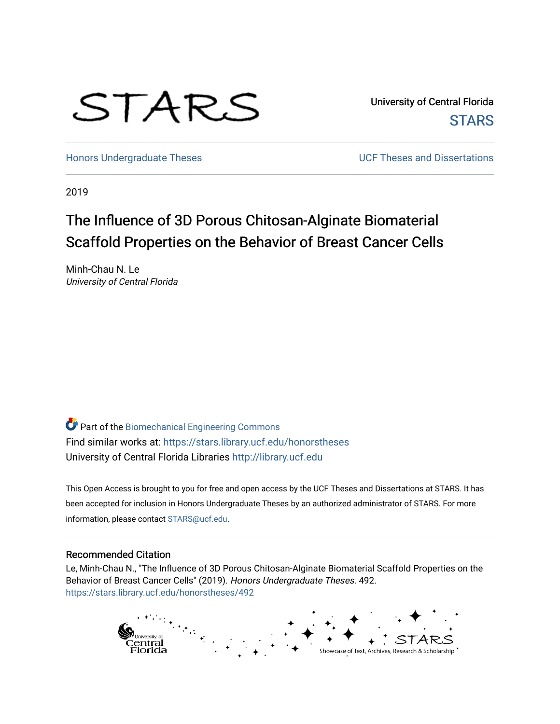

University of Central Florida **STARS** 

[Honors Undergraduate Theses](https://stars.library.ucf.edu/honorstheses) **No. 2018** UCF Theses and Dissertations

2019

# The Influence of 3D Porous Chitosan-Alginate Biomaterial Scaffold Properties on the Behavior of Breast Cancer Cells

Minh-Chau N. Le University of Central Florida

Part of the [Biomechanical Engineering Commons](http://network.bepress.com/hgg/discipline/296?utm_source=stars.library.ucf.edu%2Fhonorstheses%2F492&utm_medium=PDF&utm_campaign=PDFCoverPages) Find similar works at: <https://stars.library.ucf.edu/honorstheses> University of Central Florida Libraries [http://library.ucf.edu](http://library.ucf.edu/) 

This Open Access is brought to you for free and open access by the UCF Theses and Dissertations at STARS. It has been accepted for inclusion in Honors Undergraduate Theses by an authorized administrator of STARS. For more information, please contact [STARS@ucf.edu.](mailto:STARS@ucf.edu)

#### Recommended Citation

Le, Minh-Chau N., "The Influence of 3D Porous Chitosan-Alginate Biomaterial Scaffold Properties on the Behavior of Breast Cancer Cells" (2019). Honors Undergraduate Theses. 492. [https://stars.library.ucf.edu/honorstheses/492](https://stars.library.ucf.edu/honorstheses/492?utm_source=stars.library.ucf.edu%2Fhonorstheses%2F492&utm_medium=PDF&utm_campaign=PDFCoverPages) 

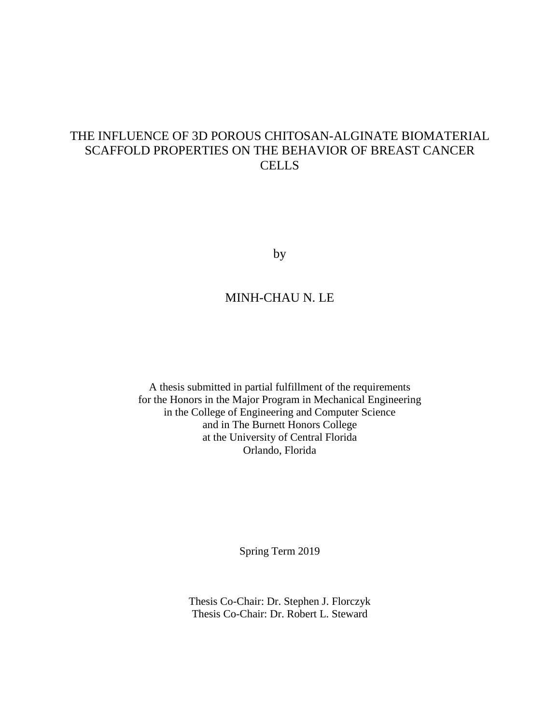## THE INFLUENCE OF 3D POROUS CHITOSAN-ALGINATE BIOMATERIAL SCAFFOLD PROPERTIES ON THE BEHAVIOR OF BREAST CANCER **CELLS**

by

## MINH-CHAU N. LE

A thesis submitted in partial fulfillment of the requirements for the Honors in the Major Program in Mechanical Engineering in the College of Engineering and Computer Science and in The Burnett Honors College at the University of Central Florida Orlando, Florida

Spring Term 2019

Thesis Co-Chair: Dr. Stephen J. Florczyk Thesis Co-Chair: Dr. Robert L. Steward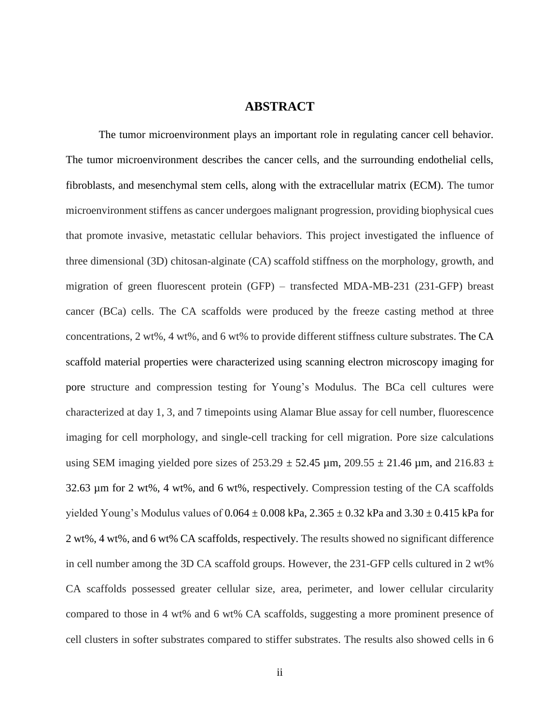## **ABSTRACT**

The tumor microenvironment plays an important role in regulating cancer cell behavior. The tumor microenvironment describes the cancer cells, and the surrounding endothelial cells, fibroblasts, and mesenchymal stem cells, along with the extracellular matrix (ECM). The tumor microenvironment stiffens as cancer undergoes malignant progression, providing biophysical cues that promote invasive, metastatic cellular behaviors. This project investigated the influence of three dimensional (3D) chitosan-alginate (CA) scaffold stiffness on the morphology, growth, and migration of green fluorescent protein (GFP) – transfected MDA-MB-231 (231-GFP) breast cancer (BCa) cells. The CA scaffolds were produced by the freeze casting method at three concentrations, 2 wt%, 4 wt%, and 6 wt% to provide different stiffness culture substrates. The CA scaffold material properties were characterized using scanning electron microscopy imaging for pore structure and compression testing for Young's Modulus. The BCa cell cultures were characterized at day 1, 3, and 7 timepoints using Alamar Blue assay for cell number, fluorescence imaging for cell morphology, and single-cell tracking for cell migration. Pore size calculations using SEM imaging yielded pore sizes of  $253.29 \pm 52.45$  µm,  $209.55 \pm 21.46$  µm, and  $216.83 \pm 1.46$ 32.63 µm for 2 wt%, 4 wt%, and 6 wt%, respectively. Compression testing of the CA scaffolds yielded Young's Modulus values of  $0.064 \pm 0.008$  kPa,  $2.365 \pm 0.32$  kPa and  $3.30 \pm 0.415$  kPa for 2 wt%, 4 wt%, and 6 wt% CA scaffolds, respectively. The results showed no significant difference in cell number among the 3D CA scaffold groups. However, the 231-GFP cells cultured in 2 wt% CA scaffolds possessed greater cellular size, area, perimeter, and lower cellular circularity compared to those in 4 wt% and 6 wt% CA scaffolds, suggesting a more prominent presence of cell clusters in softer substrates compared to stiffer substrates. The results also showed cells in 6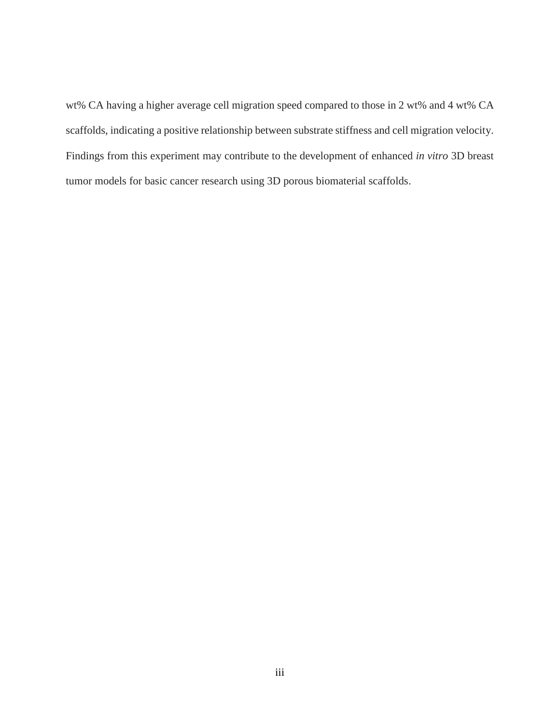wt% CA having a higher average cell migration speed compared to those in 2 wt% and 4 wt% CA scaffolds, indicating a positive relationship between substrate stiffness and cell migration velocity. Findings from this experiment may contribute to the development of enhanced *in vitro* 3D breast tumor models for basic cancer research using 3D porous biomaterial scaffolds.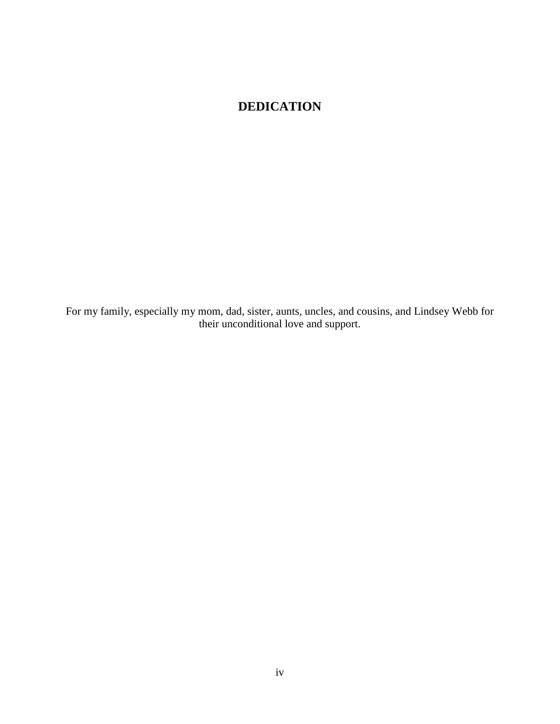## **DEDICATION**

For my family, especially my mom, dad, sister, aunts, uncles, and cousins, and Lindsey Webb for their unconditional love and support.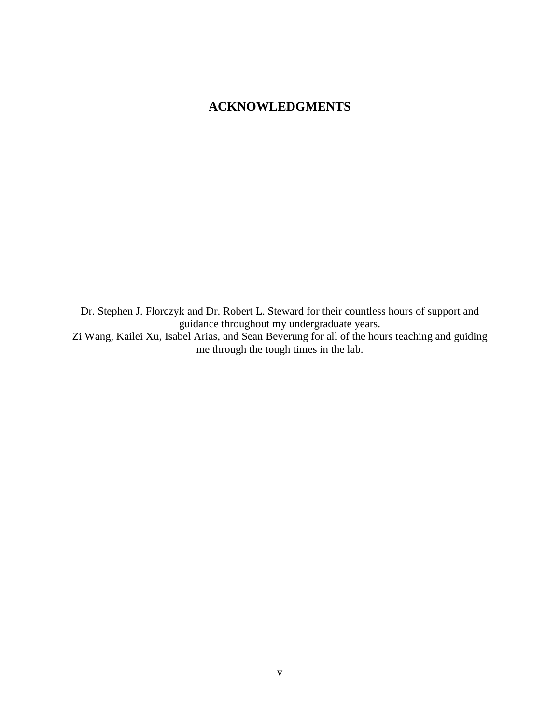## **ACKNOWLEDGMENTS**

Dr. Stephen J. Florczyk and Dr. Robert L. Steward for their countless hours of support and guidance throughout my undergraduate years. Zi Wang, Kailei Xu, Isabel Arias, and Sean Beverung for all of the hours teaching and guiding me through the tough times in the lab.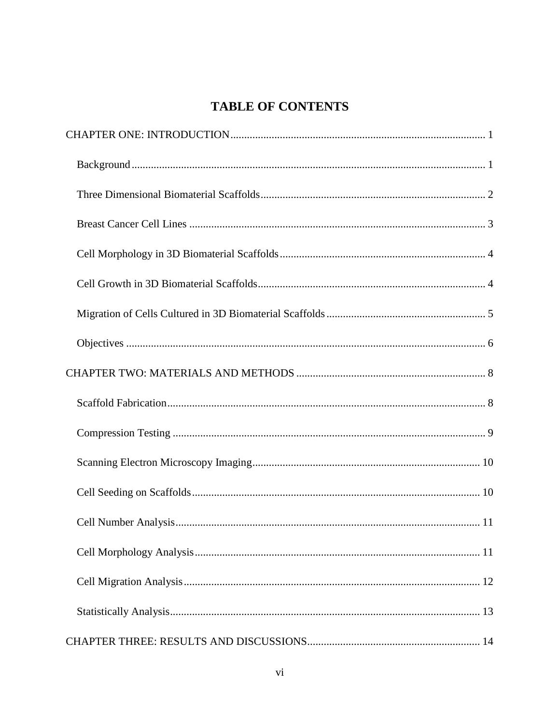## **TABLE OF CONTENTS**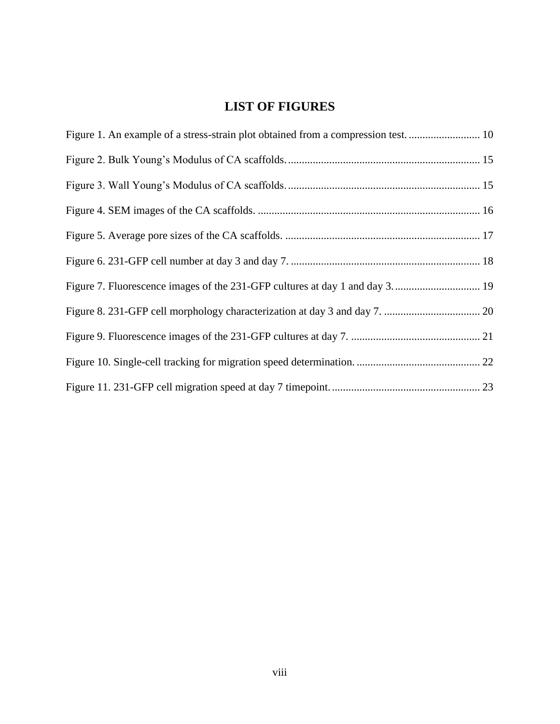## **LIST OF FIGURES**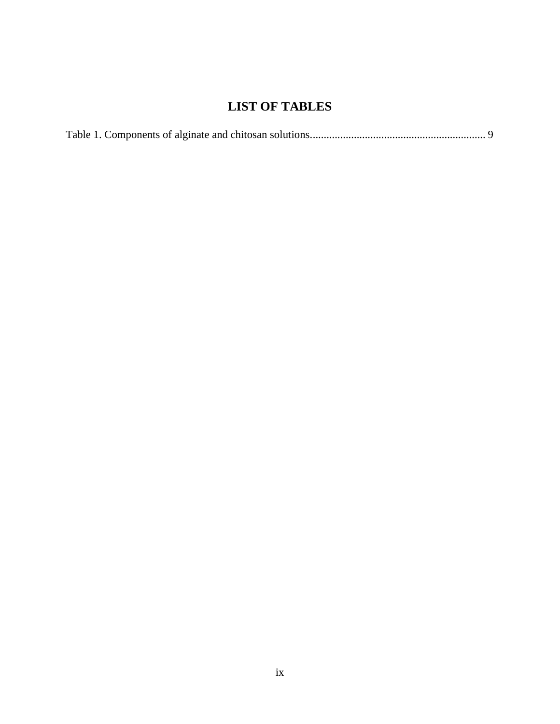## **LIST OF TABLES**

|--|--|--|--|--|--|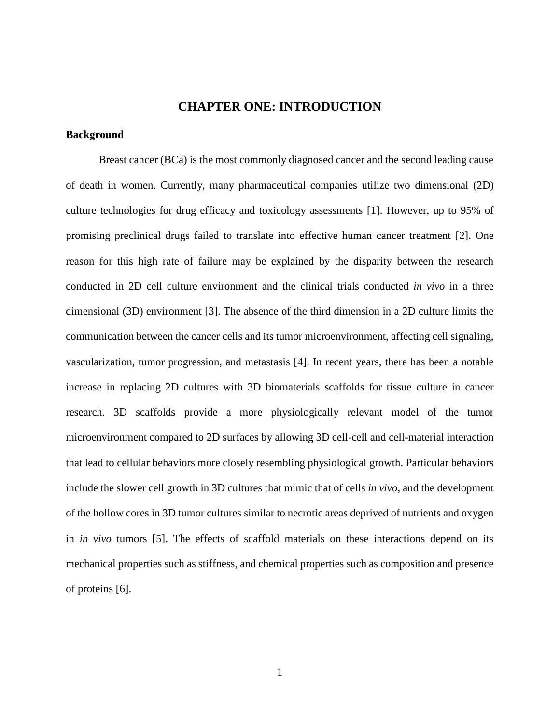## **CHAPTER ONE: INTRODUCTION**

### <span id="page-10-1"></span><span id="page-10-0"></span>**Background**

Breast cancer (BCa) is the most commonly diagnosed cancer and the second leading cause of death in women. Currently, many pharmaceutical companies utilize two dimensional (2D) culture technologies for drug efficacy and toxicology assessments [1]. However, up to 95% of promising preclinical drugs failed to translate into effective human cancer treatment [2]. One reason for this high rate of failure may be explained by the disparity between the research conducted in 2D cell culture environment and the clinical trials conducted *in vivo* in a three dimensional (3D) environment [3]. The absence of the third dimension in a 2D culture limits the communication between the cancer cells and its tumor microenvironment, affecting cell signaling, vascularization, tumor progression, and metastasis [4]. In recent years, there has been a notable increase in replacing 2D cultures with 3D biomaterials scaffolds for tissue culture in cancer research. 3D scaffolds provide a more physiologically relevant model of the tumor microenvironment compared to 2D surfaces by allowing 3D cell-cell and cell-material interaction that lead to cellular behaviors more closely resembling physiological growth. Particular behaviors include the slower cell growth in 3D cultures that mimic that of cells *in vivo*, and the development of the hollow cores in 3D tumor cultures similar to necrotic areas deprived of nutrients and oxygen in *in vivo* tumors [5]. The effects of scaffold materials on these interactions depend on its mechanical properties such as stiffness, and chemical properties such as composition and presence of proteins [6].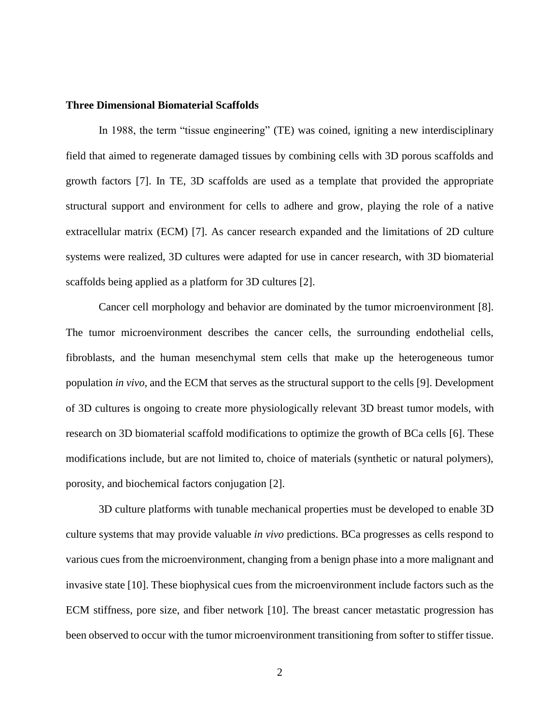### <span id="page-11-0"></span>**Three Dimensional Biomaterial Scaffolds**

In 1988, the term "tissue engineering" (TE) was coined, igniting a new interdisciplinary field that aimed to regenerate damaged tissues by combining cells with 3D porous scaffolds and growth factors [7]. In TE, 3D scaffolds are used as a template that provided the appropriate structural support and environment for cells to adhere and grow, playing the role of a native extracellular matrix (ECM) [7]. As cancer research expanded and the limitations of 2D culture systems were realized, 3D cultures were adapted for use in cancer research, with 3D biomaterial scaffolds being applied as a platform for 3D cultures [2].

Cancer cell morphology and behavior are dominated by the tumor microenvironment [8]. The tumor microenvironment describes the cancer cells, the surrounding endothelial cells, fibroblasts, and the human mesenchymal stem cells that make up the heterogeneous tumor population *in vivo*, and the ECM that serves as the structural support to the cells [9]. Development of 3D cultures is ongoing to create more physiologically relevant 3D breast tumor models, with research on 3D biomaterial scaffold modifications to optimize the growth of BCa cells [6]. These modifications include, but are not limited to, choice of materials (synthetic or natural polymers), porosity, and biochemical factors conjugation [2].

3D culture platforms with tunable mechanical properties must be developed to enable 3D culture systems that may provide valuable *in vivo* predictions. BCa progresses as cells respond to various cues from the microenvironment, changing from a benign phase into a more malignant and invasive state [10]. These biophysical cues from the microenvironment include factors such as the ECM stiffness, pore size, and fiber network [10]. The breast cancer metastatic progression has been observed to occur with the tumor microenvironment transitioning from softer to stiffer tissue.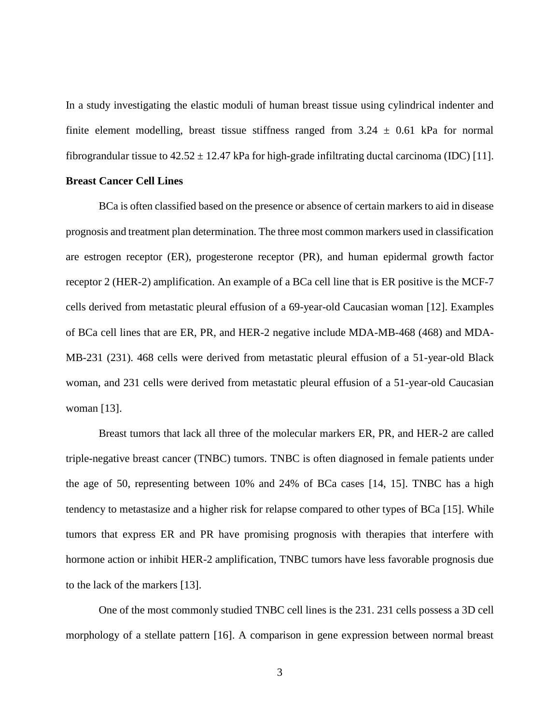In a study investigating the elastic moduli of human breast tissue using cylindrical indenter and finite element modelling, breast tissue stiffness ranged from  $3.24 \pm 0.61$  kPa for normal fibrograndular tissue to  $42.52 \pm 12.47$  kPa for high-grade infiltrating ductal carcinoma (IDC) [11].

## <span id="page-12-0"></span>**Breast Cancer Cell Lines**

BCa is often classified based on the presence or absence of certain markers to aid in disease prognosis and treatment plan determination. The three most common markers used in classification are estrogen receptor (ER), progesterone receptor (PR), and human epidermal growth factor receptor 2 (HER-2) amplification. An example of a BCa cell line that is ER positive is the MCF-7 cells derived from metastatic pleural effusion of a 69-year-old Caucasian woman [12]. Examples of BCa cell lines that are ER, PR, and HER-2 negative include MDA-MB-468 (468) and MDA-MB-231 (231). 468 cells were derived from metastatic pleural effusion of a 51-year-old Black woman, and 231 cells were derived from metastatic pleural effusion of a 51-year-old Caucasian woman [13].

Breast tumors that lack all three of the molecular markers ER, PR, and HER-2 are called triple-negative breast cancer (TNBC) tumors. TNBC is often diagnosed in female patients under the age of 50, representing between 10% and 24% of BCa cases [14, 15]. TNBC has a high tendency to metastasize and a higher risk for relapse compared to other types of BCa [15]. While tumors that express ER and PR have promising prognosis with therapies that interfere with hormone action or inhibit HER-2 amplification, TNBC tumors have less favorable prognosis due to the lack of the markers [13].

One of the most commonly studied TNBC cell lines is the 231. 231 cells possess a 3D cell morphology of a stellate pattern [16]. A comparison in gene expression between normal breast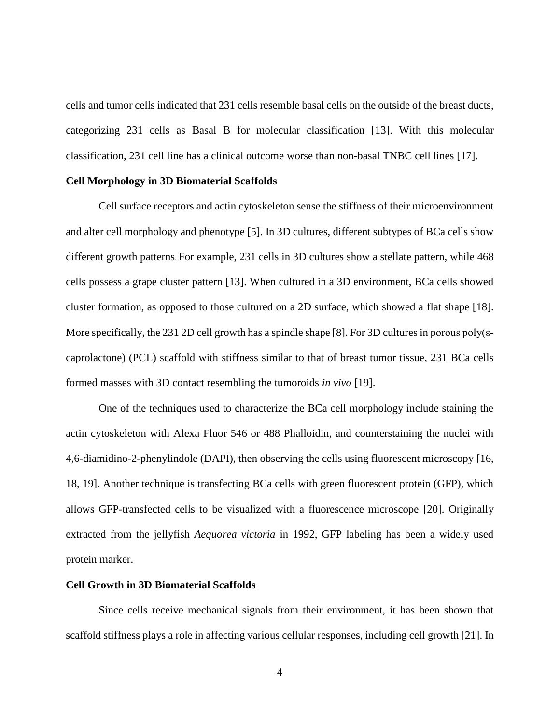cells and tumor cells indicated that 231 cells resemble basal cells on the outside of the breast ducts, categorizing 231 cells as Basal B for molecular classification [13]. With this molecular classification, 231 cell line has a clinical outcome worse than non-basal TNBC cell lines [17].

### <span id="page-13-0"></span>**Cell Morphology in 3D Biomaterial Scaffolds**

Cell surface receptors and actin cytoskeleton sense the stiffness of their microenvironment and alter cell morphology and phenotype [5]. In 3D cultures, different subtypes of BCa cells show different growth patterns. For example, 231 cells in 3D cultures show a stellate pattern, while 468 cells possess a grape cluster pattern [13]. When cultured in a 3D environment, BCa cells showed cluster formation, as opposed to those cultured on a 2D surface, which showed a flat shape [18]. More specifically, the 231 2D cell growth has a spindle shape [8]. For 3D cultures in porous poly( $\varepsilon$ caprolactone) (PCL) scaffold with stiffness similar to that of breast tumor tissue, 231 BCa cells formed masses with 3D contact resembling the tumoroids *in vivo* [19].

One of the techniques used to characterize the BCa cell morphology include staining the actin cytoskeleton with Alexa Fluor 546 or 488 Phalloidin, and counterstaining the nuclei with 4,6-diamidino-2-phenylindole (DAPI), then observing the cells using fluorescent microscopy [16, 18, 19]. Another technique is transfecting BCa cells with green fluorescent protein (GFP), which allows GFP-transfected cells to be visualized with a fluorescence microscope [20]. Originally extracted from the jellyfish *Aequorea victoria* in 1992, GFP labeling has been a widely used protein marker.

#### <span id="page-13-1"></span>**Cell Growth in 3D Biomaterial Scaffolds**

Since cells receive mechanical signals from their environment, it has been shown that scaffold stiffness plays a role in affecting various cellular responses, including cell growth [21]. In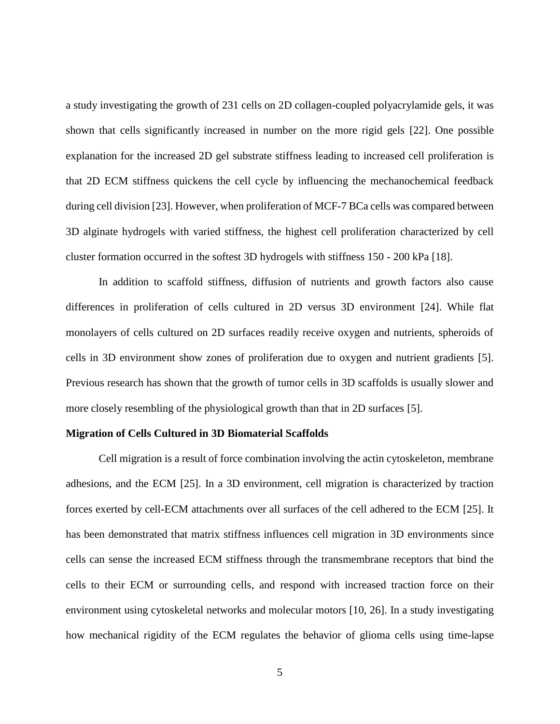a study investigating the growth of 231 cells on 2D collagen-coupled polyacrylamide gels, it was shown that cells significantly increased in number on the more rigid gels [22]. One possible explanation for the increased 2D gel substrate stiffness leading to increased cell proliferation is that 2D ECM stiffness quickens the cell cycle by influencing the mechanochemical feedback during cell division [23]. However, when proliferation of MCF-7 BCa cells was compared between 3D alginate hydrogels with varied stiffness, the highest cell proliferation characterized by cell cluster formation occurred in the softest 3D hydrogels with stiffness 150 - 200 kPa [18].

In addition to scaffold stiffness, diffusion of nutrients and growth factors also cause differences in proliferation of cells cultured in 2D versus 3D environment [24]. While flat monolayers of cells cultured on 2D surfaces readily receive oxygen and nutrients, spheroids of cells in 3D environment show zones of proliferation due to oxygen and nutrient gradients [5]. Previous research has shown that the growth of tumor cells in 3D scaffolds is usually slower and more closely resembling of the physiological growth than that in 2D surfaces [5].

#### <span id="page-14-0"></span>**Migration of Cells Cultured in 3D Biomaterial Scaffolds**

Cell migration is a result of force combination involving the actin cytoskeleton, membrane adhesions, and the ECM [25]. In a 3D environment, cell migration is characterized by traction forces exerted by cell-ECM attachments over all surfaces of the cell adhered to the ECM [25]. It has been demonstrated that matrix stiffness influences cell migration in 3D environments since cells can sense the increased ECM stiffness through the transmembrane receptors that bind the cells to their ECM or surrounding cells, and respond with increased traction force on their environment using cytoskeletal networks and molecular motors [10, 26]. In a study investigating how mechanical rigidity of the ECM regulates the behavior of glioma cells using time-lapse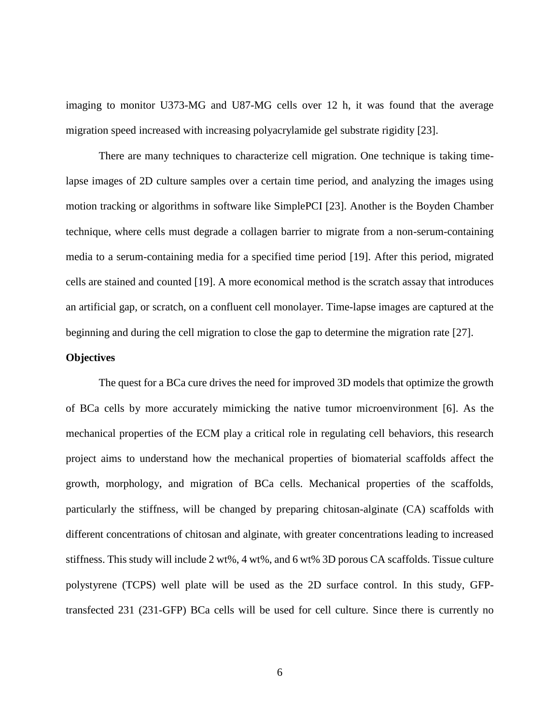imaging to monitor U373-MG and U87-MG cells over 12 h, it was found that the average migration speed increased with increasing polyacrylamide gel substrate rigidity [23].

There are many techniques to characterize cell migration. One technique is taking timelapse images of 2D culture samples over a certain time period, and analyzing the images using motion tracking or algorithms in software like SimplePCI [23]. Another is the Boyden Chamber technique, where cells must degrade a collagen barrier to migrate from a non-serum-containing media to a serum-containing media for a specified time period [19]. After this period, migrated cells are stained and counted [19]. A more economical method is the scratch assay that introduces an artificial gap, or scratch, on a confluent cell monolayer. Time-lapse images are captured at the beginning and during the cell migration to close the gap to determine the migration rate [27].

## <span id="page-15-0"></span>**Objectives**

The quest for a BCa cure drives the need for improved 3D models that optimize the growth of BCa cells by more accurately mimicking the native tumor microenvironment [6]. As the mechanical properties of the ECM play a critical role in regulating cell behaviors, this research project aims to understand how the mechanical properties of biomaterial scaffolds affect the growth, morphology, and migration of BCa cells. Mechanical properties of the scaffolds, particularly the stiffness, will be changed by preparing chitosan-alginate (CA) scaffolds with different concentrations of chitosan and alginate, with greater concentrations leading to increased stiffness. This study will include 2 wt%, 4 wt%, and 6 wt% 3D porous CA scaffolds. Tissue culture polystyrene (TCPS) well plate will be used as the 2D surface control. In this study, GFPtransfected 231 (231-GFP) BCa cells will be used for cell culture. Since there is currently no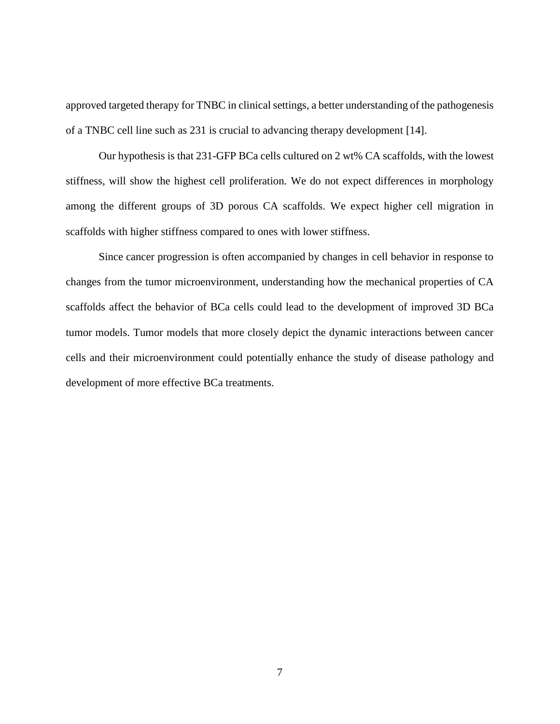approved targeted therapy for TNBC in clinical settings, a better understanding of the pathogenesis of a TNBC cell line such as 231 is crucial to advancing therapy development [14].

Our hypothesis is that 231-GFP BCa cells cultured on 2 wt% CA scaffolds, with the lowest stiffness, will show the highest cell proliferation. We do not expect differences in morphology among the different groups of 3D porous CA scaffolds. We expect higher cell migration in scaffolds with higher stiffness compared to ones with lower stiffness.

Since cancer progression is often accompanied by changes in cell behavior in response to changes from the tumor microenvironment, understanding how the mechanical properties of CA scaffolds affect the behavior of BCa cells could lead to the development of improved 3D BCa tumor models. Tumor models that more closely depict the dynamic interactions between cancer cells and their microenvironment could potentially enhance the study of disease pathology and development of more effective BCa treatments.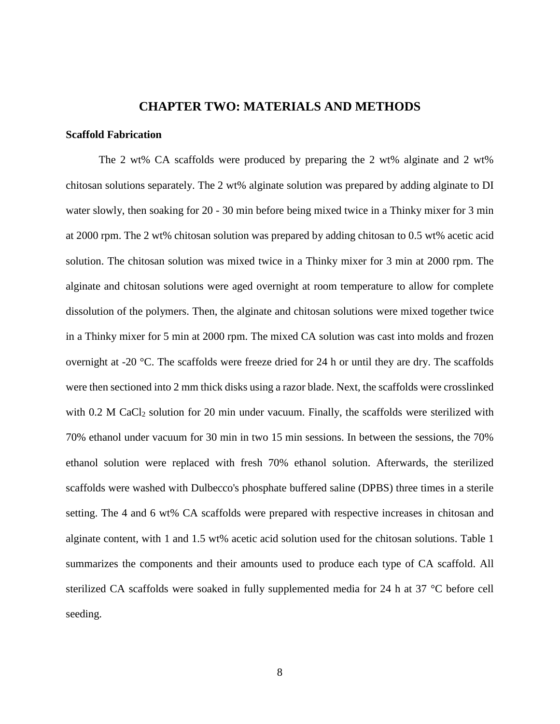## **CHAPTER TWO: MATERIALS AND METHODS**

#### <span id="page-17-2"></span><span id="page-17-1"></span><span id="page-17-0"></span>**Scaffold Fabrication**

The 2 wt% CA scaffolds were produced by preparing the 2 wt% alginate and 2 wt% chitosan solutions separately. The 2 wt% alginate solution was prepared by adding alginate to DI water slowly, then soaking for 20 - 30 min before being mixed twice in a Thinky mixer for 3 min at 2000 rpm. The 2 wt% chitosan solution was prepared by adding chitosan to 0.5 wt% acetic acid solution. The chitosan solution was mixed twice in a Thinky mixer for 3 min at 2000 rpm. The alginate and chitosan solutions were aged overnight at room temperature to allow for complete dissolution of the polymers. Then, the alginate and chitosan solutions were mixed together twice in a Thinky mixer for 5 min at 2000 rpm. The mixed CA solution was cast into molds and frozen overnight at -20 °C. The scaffolds were freeze dried for 24 h or until they are dry. The scaffolds were then sectioned into 2 mm thick disks using a razor blade. Next, the scaffolds were crosslinked with  $0.2$  M CaCl<sub>2</sub> solution for 20 min under vacuum. Finally, the scaffolds were sterilized with 70% ethanol under vacuum for 30 min in two 15 min sessions. In between the sessions, the 70% ethanol solution were replaced with fresh 70% ethanol solution. Afterwards, the sterilized scaffolds were washed with Dulbecco's phosphate buffered saline (DPBS) three times in a sterile setting. The 4 and 6 wt% CA scaffolds were prepared with respective increases in chitosan and alginate content, with 1 and 1.5 wt% acetic acid solution used for the chitosan solutions. Table 1 summarizes the components and their amounts used to produce each type of CA scaffold. All sterilized CA scaffolds were soaked in fully supplemented media for 24 h at 37 °C before cell seeding.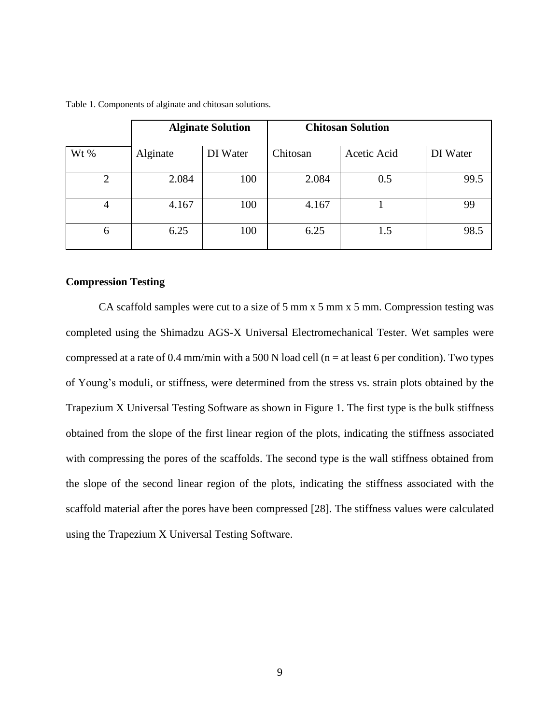|                | <b>Alginate Solution</b> |          | <b>Chitosan Solution</b> |             |          |
|----------------|--------------------------|----------|--------------------------|-------------|----------|
| Wt $%$         | Alginate                 | DI Water | Chitosan                 | Acetic Acid | DI Water |
| $\overline{2}$ | 2.084                    | 100      | 2.084                    | 0.5         | 99.5     |
| 4              | 4.167                    | 100      | 4.167                    |             | 99       |
| 6              | 6.25                     | 100      | 6.25                     | 1.5         | 98.5     |

Table 1. Components of alginate and chitosan solutions.

### <span id="page-18-0"></span>**Compression Testing**

CA scaffold samples were cut to a size of 5 mm x 5 mm x 5 mm. Compression testing was completed using the Shimadzu AGS-X Universal Electromechanical Tester. Wet samples were compressed at a rate of 0.4 mm/min with a 500 N load cell ( $n =$  at least 6 per condition). Two types of Young's moduli, or stiffness, were determined from the stress vs. strain plots obtained by the Trapezium X Universal Testing Software as shown in Figure 1. The first type is the bulk stiffness obtained from the slope of the first linear region of the plots, indicating the stiffness associated with compressing the pores of the scaffolds. The second type is the wall stiffness obtained from the slope of the second linear region of the plots, indicating the stiffness associated with the scaffold material after the pores have been compressed [28]. The stiffness values were calculated using the Trapezium X Universal Testing Software.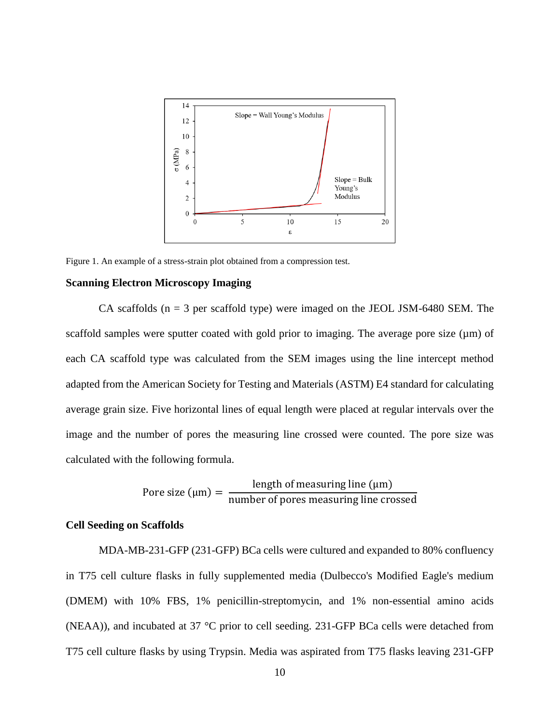

<span id="page-19-2"></span>Figure 1. An example of a stress-strain plot obtained from a compression test.

#### <span id="page-19-0"></span>**Scanning Electron Microscopy Imaging**

CA scaffolds ( $n = 3$  per scaffold type) were imaged on the JEOL JSM-6480 SEM. The scaffold samples were sputter coated with gold prior to imaging. The average pore size  $(\mu m)$  of each CA scaffold type was calculated from the SEM images using the line intercept method adapted from the American Society for Testing and Materials (ASTM) E4 standard for calculating average grain size. Five horizontal lines of equal length were placed at regular intervals over the image and the number of pores the measuring line crossed were counted. The pore size was calculated with the following formula.

Prove size (µm) = 
$$
\frac{\text{length of measuring line (µm)}}{\text{number of pores measuring line crossed}}
$$

### <span id="page-19-1"></span>**Cell Seeding on Scaffolds**

MDA-MB-231-GFP (231-GFP) BCa cells were cultured and expanded to 80% confluency in T75 cell culture flasks in fully supplemented media (Dulbecco's Modified Eagle's medium (DMEM) with 10% FBS, 1% penicillin-streptomycin, and 1% non-essential amino acids (NEAA)), and incubated at 37 °C prior to cell seeding. 231-GFP BCa cells were detached from T75 cell culture flasks by using Trypsin. Media was aspirated from T75 flasks leaving 231-GFP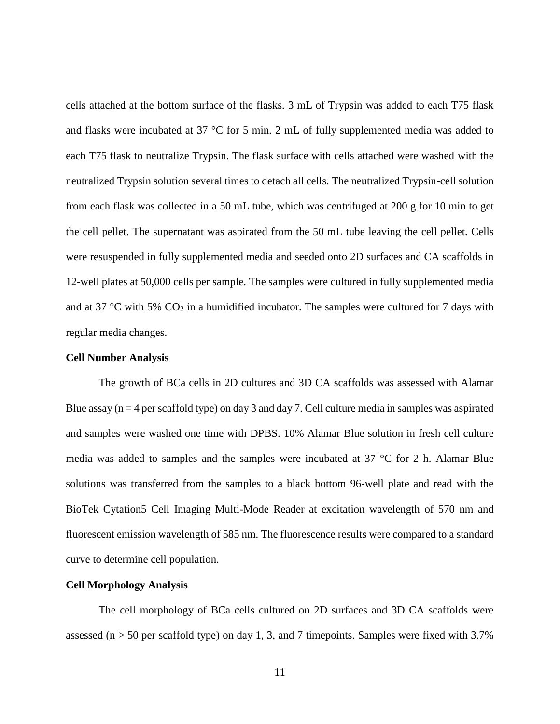cells attached at the bottom surface of the flasks. 3 mL of Trypsin was added to each T75 flask and flasks were incubated at 37 °C for 5 min. 2 mL of fully supplemented media was added to each T75 flask to neutralize Trypsin. The flask surface with cells attached were washed with the neutralized Trypsin solution several times to detach all cells. The neutralized Trypsin-cell solution from each flask was collected in a 50 mL tube, which was centrifuged at 200 g for 10 min to get the cell pellet. The supernatant was aspirated from the 50 mL tube leaving the cell pellet. Cells were resuspended in fully supplemented media and seeded onto 2D surfaces and CA scaffolds in 12-well plates at 50,000 cells per sample. The samples were cultured in fully supplemented media and at 37 °C with 5%  $CO<sub>2</sub>$  in a humidified incubator. The samples were cultured for 7 days with regular media changes.

#### <span id="page-20-0"></span>**Cell Number Analysis**

The growth of BCa cells in 2D cultures and 3D CA scaffolds was assessed with Alamar Blue assay ( $n = 4$  per scaffold type) on day 3 and day 7. Cell culture media in samples was aspirated and samples were washed one time with DPBS. 10% Alamar Blue solution in fresh cell culture media was added to samples and the samples were incubated at 37 °C for 2 h. Alamar Blue solutions was transferred from the samples to a black bottom 96-well plate and read with the BioTek Cytation5 Cell Imaging Multi-Mode Reader at excitation wavelength of 570 nm and fluorescent emission wavelength of 585 nm. The fluorescence results were compared to a standard curve to determine cell population.

### <span id="page-20-1"></span>**Cell Morphology Analysis**

The cell morphology of BCa cells cultured on 2D surfaces and 3D CA scaffolds were assessed ( $n > 50$  per scaffold type) on day 1, 3, and 7 timepoints. Samples were fixed with 3.7%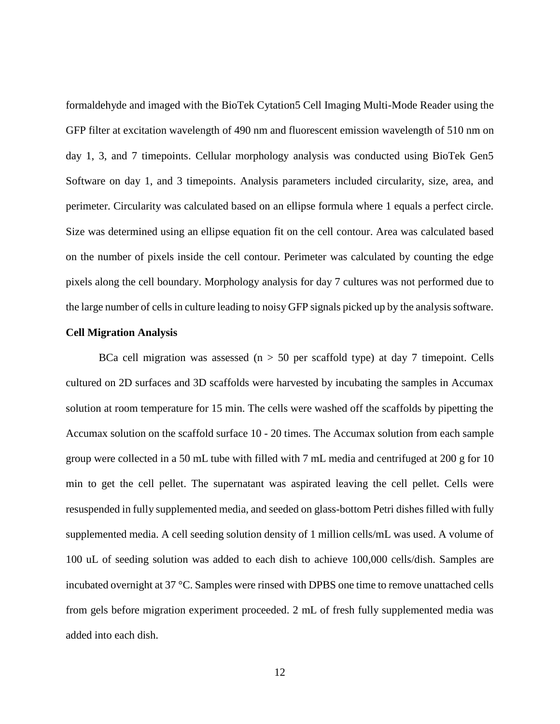formaldehyde and imaged with the BioTek Cytation5 Cell Imaging Multi-Mode Reader using the GFP filter at excitation wavelength of 490 nm and fluorescent emission wavelength of 510 nm on day 1, 3, and 7 timepoints. Cellular morphology analysis was conducted using BioTek Gen5 Software on day 1, and 3 timepoints. Analysis parameters included circularity, size, area, and perimeter. Circularity was calculated based on an ellipse formula where 1 equals a perfect circle. Size was determined using an ellipse equation fit on the cell contour. Area was calculated based on the number of pixels inside the cell contour. Perimeter was calculated by counting the edge pixels along the cell boundary. Morphology analysis for day 7 cultures was not performed due to the large number of cells in culture leading to noisy GFP signals picked up by the analysis software.

#### <span id="page-21-0"></span>**Cell Migration Analysis**

BCa cell migration was assessed  $(n > 50$  per scaffold type) at day 7 timepoint. Cells cultured on 2D surfaces and 3D scaffolds were harvested by incubating the samples in Accumax solution at room temperature for 15 min. The cells were washed off the scaffolds by pipetting the Accumax solution on the scaffold surface 10 - 20 times. The Accumax solution from each sample group were collected in a 50 mL tube with filled with 7 mL media and centrifuged at 200 g for 10 min to get the cell pellet. The supernatant was aspirated leaving the cell pellet. Cells were resuspended in fully supplemented media, and seeded on glass-bottom Petri dishes filled with fully supplemented media. A cell seeding solution density of 1 million cells/mL was used. A volume of 100 uL of seeding solution was added to each dish to achieve 100,000 cells/dish. Samples are incubated overnight at 37 °C. Samples were rinsed with DPBS one time to remove unattached cells from gels before migration experiment proceeded. 2 mL of fresh fully supplemented media was added into each dish.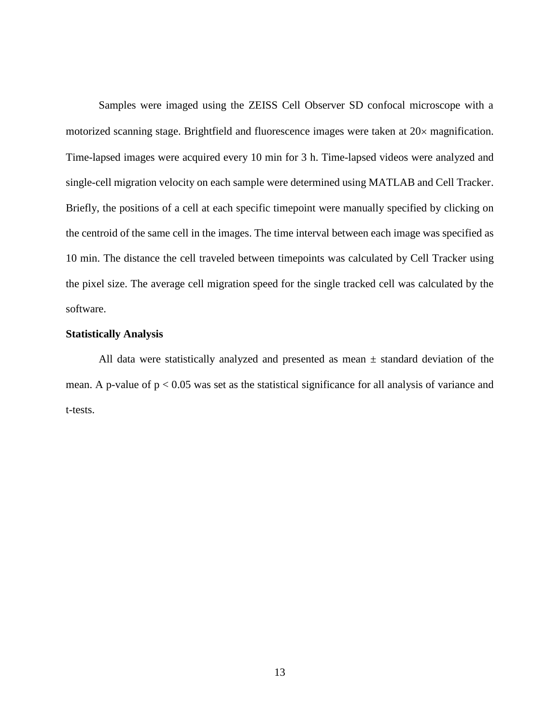Samples were imaged using the ZEISS Cell Observer SD confocal microscope with a motorized scanning stage. Brightfield and fluorescence images were taken at  $20\times$  magnification. Time-lapsed images were acquired every 10 min for 3 h. Time-lapsed videos were analyzed and single-cell migration velocity on each sample were determined using MATLAB and Cell Tracker. Briefly, the positions of a cell at each specific timepoint were manually specified by clicking on the centroid of the same cell in the images. The time interval between each image was specified as 10 min. The distance the cell traveled between timepoints was calculated by Cell Tracker using the pixel size. The average cell migration speed for the single tracked cell was calculated by the software.

## <span id="page-22-0"></span>**Statistically Analysis**

All data were statistically analyzed and presented as mean  $\pm$  standard deviation of the mean. A p-value of  $p < 0.05$  was set as the statistical significance for all analysis of variance and t-tests.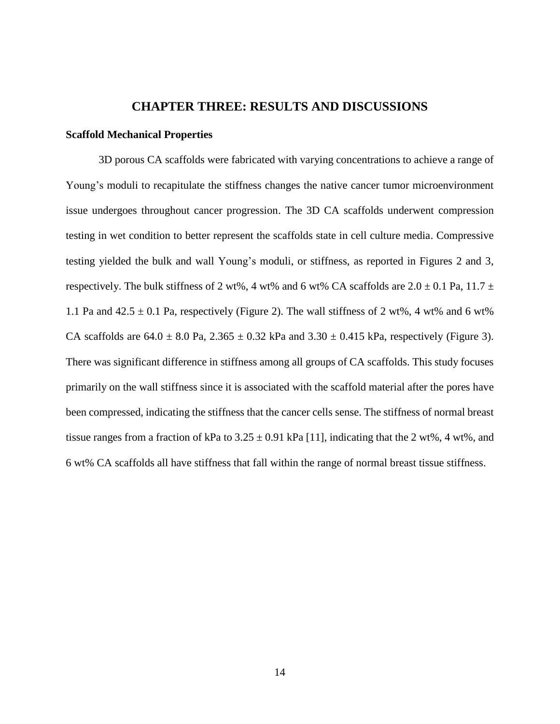## **CHAPTER THREE: RESULTS AND DISCUSSIONS**

#### <span id="page-23-1"></span><span id="page-23-0"></span>**Scaffold Mechanical Properties**

3D porous CA scaffolds were fabricated with varying concentrations to achieve a range of Young's moduli to recapitulate the stiffness changes the native cancer tumor microenvironment issue undergoes throughout cancer progression. The 3D CA scaffolds underwent compression testing in wet condition to better represent the scaffolds state in cell culture media. Compressive testing yielded the bulk and wall Young's moduli, or stiffness, as reported in Figures 2 and 3, respectively. The bulk stiffness of 2 wt%, 4 wt% and 6 wt% CA scaffolds are  $2.0 \pm 0.1$  Pa,  $11.7 \pm$ 1.1 Pa and  $42.5 \pm 0.1$  Pa, respectively (Figure 2). The wall stiffness of 2 wt%, 4 wt% and 6 wt% CA scaffolds are  $64.0 \pm 8.0$  Pa,  $2.365 \pm 0.32$  kPa and  $3.30 \pm 0.415$  kPa, respectively (Figure 3). There was significant difference in stiffness among all groups of CA scaffolds. This study focuses primarily on the wall stiffness since it is associated with the scaffold material after the pores have been compressed, indicating the stiffness that the cancer cells sense. The stiffness of normal breast tissue ranges from a fraction of kPa to  $3.25 \pm 0.91$  kPa [11], indicating that the 2 wt%, 4 wt%, and 6 wt% CA scaffolds all have stiffness that fall within the range of normal breast tissue stiffness.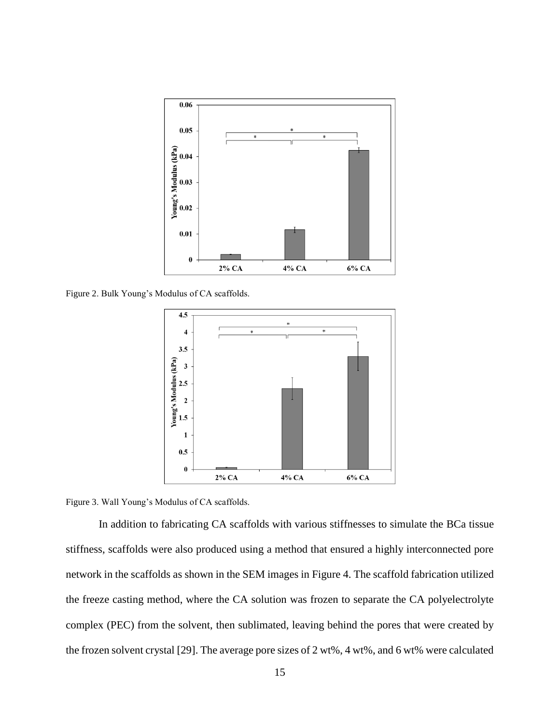

<span id="page-24-0"></span>Figure 2. Bulk Young's Modulus of CA scaffolds.



<span id="page-24-1"></span>Figure 3. Wall Young's Modulus of CA scaffolds.

In addition to fabricating CA scaffolds with various stiffnesses to simulate the BCa tissue stiffness, scaffolds were also produced using a method that ensured a highly interconnected pore network in the scaffolds as shown in the SEM images in Figure 4. The scaffold fabrication utilized the freeze casting method, where the CA solution was frozen to separate the CA polyelectrolyte complex (PEC) from the solvent, then sublimated, leaving behind the pores that were created by the frozen solvent crystal [29]. The average pore sizes of 2 wt%, 4 wt%, and 6 wt% were calculated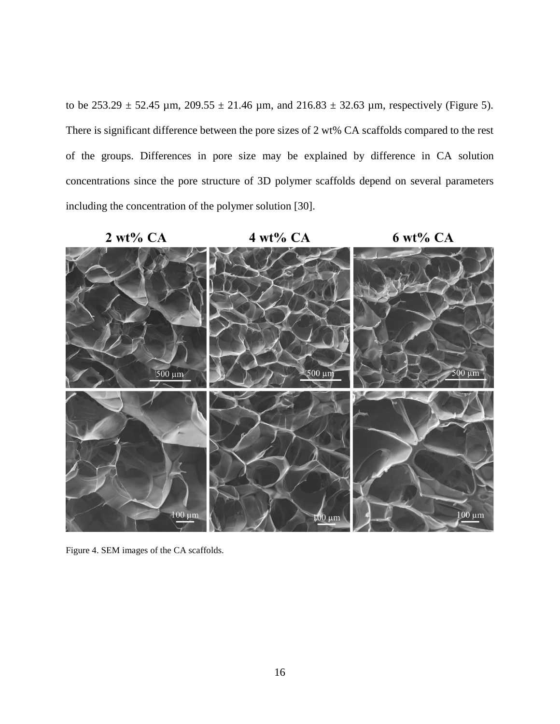to be  $253.29 \pm 52.45$  µm,  $209.55 \pm 21.46$  µm, and  $216.83 \pm 32.63$  µm, respectively (Figure 5). There is significant difference between the pore sizes of 2 wt% CA scaffolds compared to the rest of the groups. Differences in pore size may be explained by difference in CA solution concentrations since the pore structure of 3D polymer scaffolds depend on several parameters including the concentration of the polymer solution [30].



<span id="page-25-0"></span>Figure 4. SEM images of the CA scaffolds.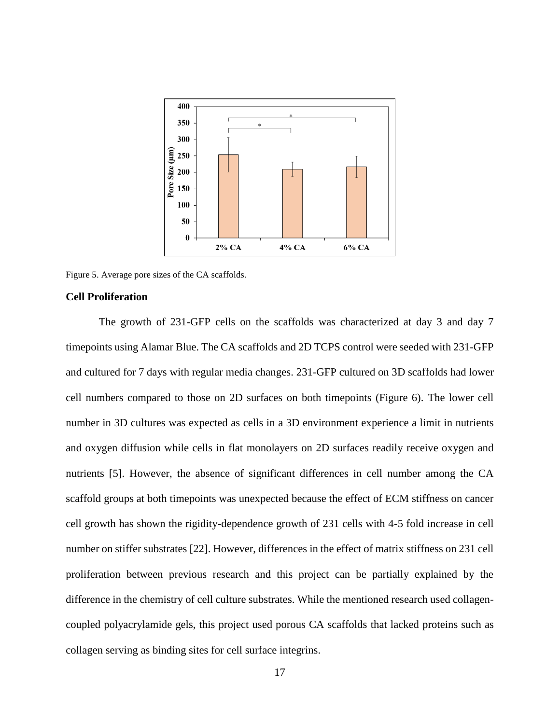![](_page_26_Figure_0.jpeg)

<span id="page-26-1"></span>Figure 5. Average pore sizes of the CA scaffolds.

### <span id="page-26-0"></span>**Cell Proliferation**

The growth of 231-GFP cells on the scaffolds was characterized at day 3 and day 7 timepoints using Alamar Blue. The CA scaffolds and 2D TCPS control were seeded with 231-GFP and cultured for 7 days with regular media changes. 231-GFP cultured on 3D scaffolds had lower cell numbers compared to those on 2D surfaces on both timepoints (Figure 6). The lower cell number in 3D cultures was expected as cells in a 3D environment experience a limit in nutrients and oxygen diffusion while cells in flat monolayers on 2D surfaces readily receive oxygen and nutrients [5]. However, the absence of significant differences in cell number among the CA scaffold groups at both timepoints was unexpected because the effect of ECM stiffness on cancer cell growth has shown the rigidity-dependence growth of 231 cells with 4-5 fold increase in cell number on stiffer substrates [22]. However, differences in the effect of matrix stiffness on 231 cell proliferation between previous research and this project can be partially explained by the difference in the chemistry of cell culture substrates. While the mentioned research used collagencoupled polyacrylamide gels, this project used porous CA scaffolds that lacked proteins such as collagen serving as binding sites for cell surface integrins.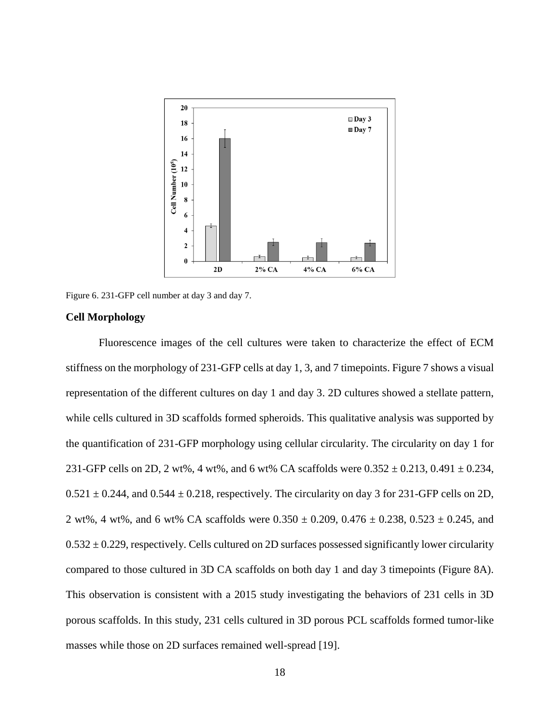![](_page_27_Figure_0.jpeg)

<span id="page-27-1"></span>Figure 6. 231-GFP cell number at day 3 and day 7.

### <span id="page-27-0"></span>**Cell Morphology**

Fluorescence images of the cell cultures were taken to characterize the effect of ECM stiffness on the morphology of 231-GFP cells at day 1, 3, and 7 timepoints. Figure 7 shows a visual representation of the different cultures on day 1 and day 3. 2D cultures showed a stellate pattern, while cells cultured in 3D scaffolds formed spheroids. This qualitative analysis was supported by the quantification of 231-GFP morphology using cellular circularity. The circularity on day 1 for 231-GFP cells on 2D, 2 wt%, 4 wt%, and 6 wt% CA scaffolds were  $0.352 \pm 0.213$ ,  $0.491 \pm 0.234$ ,  $0.521 \pm 0.244$ , and  $0.544 \pm 0.218$ , respectively. The circularity on day 3 for 231-GFP cells on 2D, 2 wt%, 4 wt%, and 6 wt% CA scaffolds were  $0.350 \pm 0.209$ ,  $0.476 \pm 0.238$ ,  $0.523 \pm 0.245$ , and  $0.532 \pm 0.229$ , respectively. Cells cultured on 2D surfaces possessed significantly lower circularity compared to those cultured in 3D CA scaffolds on both day 1 and day 3 timepoints (Figure 8A). This observation is consistent with a 2015 study investigating the behaviors of 231 cells in 3D porous scaffolds. In this study, 231 cells cultured in 3D porous PCL scaffolds formed tumor-like masses while those on 2D surfaces remained well-spread [19].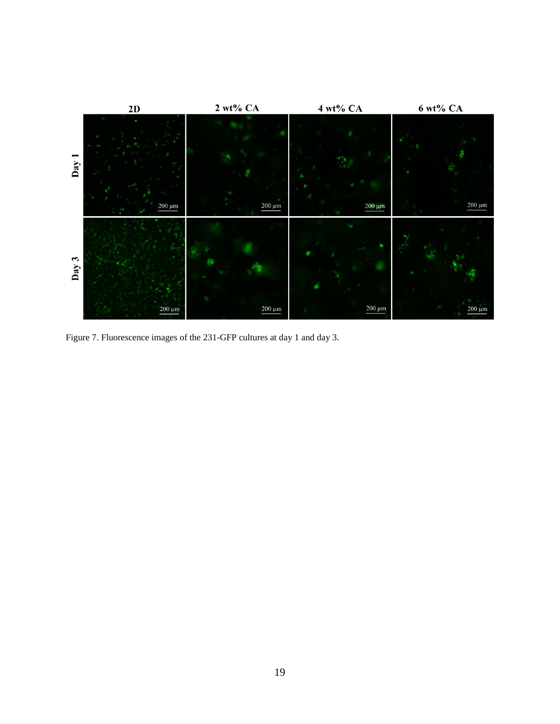![](_page_28_Figure_0.jpeg)

<span id="page-28-0"></span>Figure 7. Fluorescence images of the 231-GFP cultures at day 1 and day 3.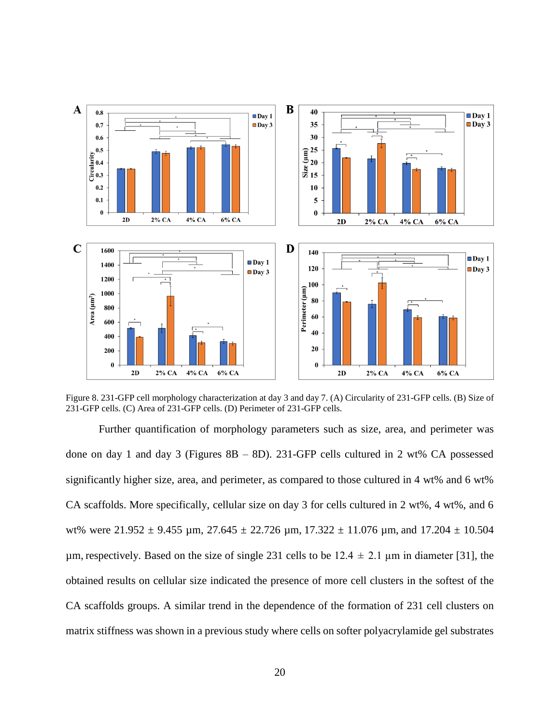![](_page_29_Figure_0.jpeg)

<span id="page-29-0"></span>Figure 8. 231-GFP cell morphology characterization at day 3 and day 7. (A) Circularity of 231-GFP cells. (B) Size of 231-GFP cells. (C) Area of 231-GFP cells. (D) Perimeter of 231-GFP cells.

Further quantification of morphology parameters such as size, area, and perimeter was done on day 1 and day 3 (Figures  $8B - 8D$ ). 231-GFP cells cultured in 2 wt% CA possessed significantly higher size, area, and perimeter, as compared to those cultured in 4 wt% and 6 wt% CA scaffolds. More specifically, cellular size on day 3 for cells cultured in 2 wt%, 4 wt%, and 6 wt% were  $21.952 \pm 9.455$  µm,  $27.645 \pm 22.726$  µm,  $17.322 \pm 11.076$  µm, and  $17.204 \pm 10.504$ µm, respectively. Based on the size of single 231 cells to be  $12.4 \pm 2.1$  µm in diameter [31], the obtained results on cellular size indicated the presence of more cell clusters in the softest of the CA scaffolds groups. A similar trend in the dependence of the formation of 231 cell clusters on matrix stiffness was shown in a previous study where cells on softer polyacrylamide gel substrates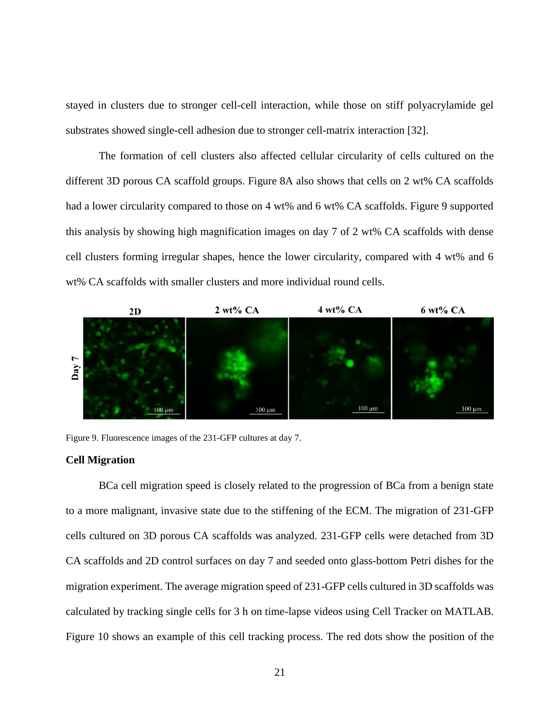stayed in clusters due to stronger cell-cell interaction, while those on stiff polyacrylamide gel substrates showed single-cell adhesion due to stronger cell-matrix interaction [32].

The formation of cell clusters also affected cellular circularity of cells cultured on the different 3D porous CA scaffold groups. Figure 8A also shows that cells on 2 wt% CA scaffolds had a lower circularity compared to those on 4 wt% and 6 wt% CA scaffolds. Figure 9 supported this analysis by showing high magnification images on day 7 of 2 wt% CA scaffolds with dense cell clusters forming irregular shapes, hence the lower circularity, compared with 4 wt% and 6 wt% CA scaffolds with smaller clusters and more individual round cells.

![](_page_30_Figure_2.jpeg)

<span id="page-30-1"></span>Figure 9. Fluorescence images of the 231-GFP cultures at day 7.

#### <span id="page-30-0"></span>**Cell Migration**

BCa cell migration speed is closely related to the progression of BCa from a benign state to a more malignant, invasive state due to the stiffening of the ECM. The migration of 231-GFP cells cultured on 3D porous CA scaffolds was analyzed. 231-GFP cells were detached from 3D CA scaffolds and 2D control surfaces on day 7 and seeded onto glass-bottom Petri dishes for the migration experiment. The average migration speed of 231-GFP cells cultured in 3D scaffolds was calculated by tracking single cells for 3 h on time-lapse videos using Cell Tracker on MATLAB. Figure 10 shows an example of this cell tracking process. The red dots show the position of the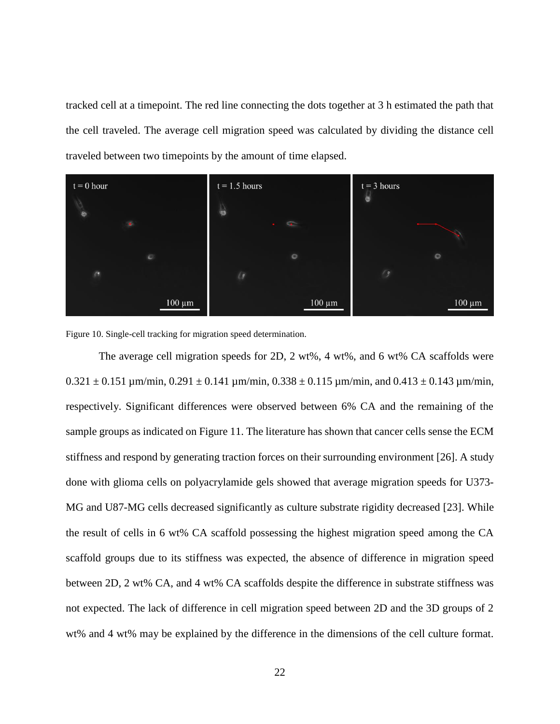tracked cell at a timepoint. The red line connecting the dots together at 3 h estimated the path that the cell traveled. The average cell migration speed was calculated by dividing the distance cell traveled between two timepoints by the amount of time elapsed.

![](_page_31_Picture_1.jpeg)

<span id="page-31-0"></span>Figure 10. Single-cell tracking for migration speed determination.

The average cell migration speeds for 2D, 2 wt%, 4 wt%, and 6 wt% CA scaffolds were  $0.321 \pm 0.151 \,\mu$ m/min,  $0.291 \pm 0.141 \,\mu$ m/min,  $0.338 \pm 0.115 \,\mu$ m/min, and  $0.413 \pm 0.143 \,\mu$ m/min, respectively. Significant differences were observed between 6% CA and the remaining of the sample groups as indicated on Figure 11. The literature has shown that cancer cells sense the ECM stiffness and respond by generating traction forces on their surrounding environment [26]. A study done with glioma cells on polyacrylamide gels showed that average migration speeds for U373- MG and U87-MG cells decreased significantly as culture substrate rigidity decreased [23]. While the result of cells in 6 wt% CA scaffold possessing the highest migration speed among the CA scaffold groups due to its stiffness was expected, the absence of difference in migration speed between 2D, 2 wt% CA, and 4 wt% CA scaffolds despite the difference in substrate stiffness was not expected. The lack of difference in cell migration speed between 2D and the 3D groups of 2 wt% and 4 wt% may be explained by the difference in the dimensions of the cell culture format.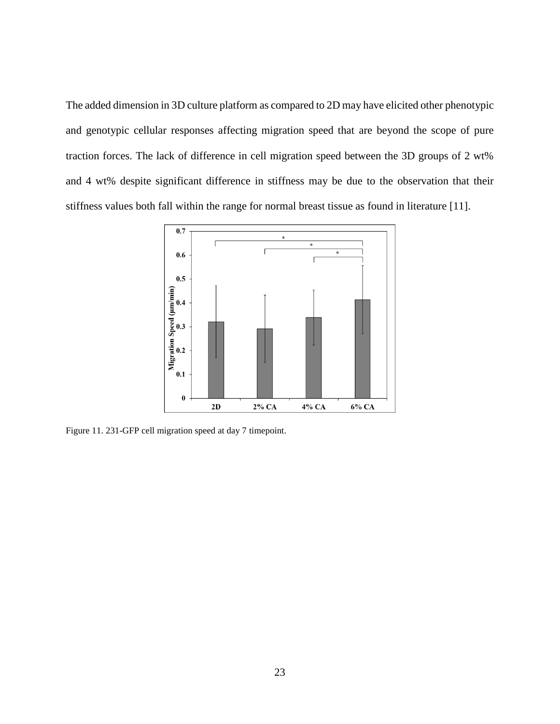The added dimension in 3D culture platform as compared to 2D may have elicited other phenotypic and genotypic cellular responses affecting migration speed that are beyond the scope of pure traction forces. The lack of difference in cell migration speed between the 3D groups of 2 wt% and 4 wt% despite significant difference in stiffness may be due to the observation that their stiffness values both fall within the range for normal breast tissue as found in literature [11].

![](_page_32_Figure_1.jpeg)

<span id="page-32-0"></span>Figure 11. 231-GFP cell migration speed at day 7 timepoint.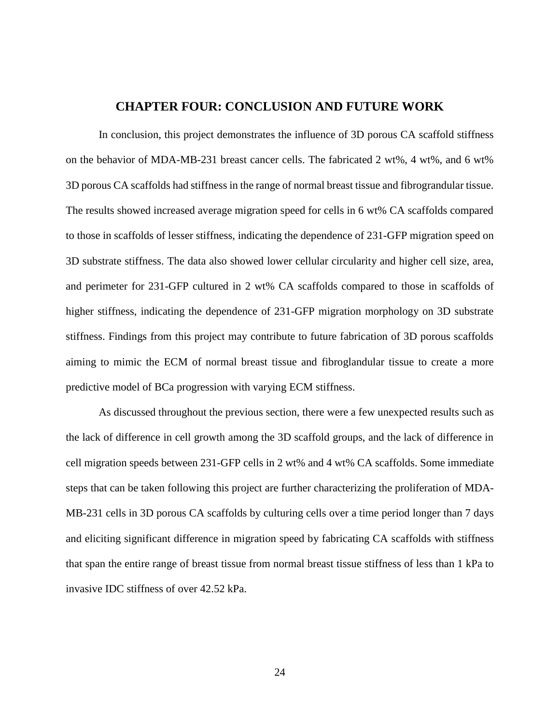## **CHAPTER FOUR: CONCLUSION AND FUTURE WORK**

<span id="page-33-0"></span>In conclusion, this project demonstrates the influence of 3D porous CA scaffold stiffness on the behavior of MDA-MB-231 breast cancer cells. The fabricated 2 wt%, 4 wt%, and 6 wt% 3D porous CA scaffolds had stiffness in the range of normal breast tissue and fibrograndular tissue. The results showed increased average migration speed for cells in 6 wt% CA scaffolds compared to those in scaffolds of lesser stiffness, indicating the dependence of 231-GFP migration speed on 3D substrate stiffness. The data also showed lower cellular circularity and higher cell size, area, and perimeter for 231-GFP cultured in 2 wt% CA scaffolds compared to those in scaffolds of higher stiffness, indicating the dependence of 231-GFP migration morphology on 3D substrate stiffness. Findings from this project may contribute to future fabrication of 3D porous scaffolds aiming to mimic the ECM of normal breast tissue and fibroglandular tissue to create a more predictive model of BCa progression with varying ECM stiffness.

As discussed throughout the previous section, there were a few unexpected results such as the lack of difference in cell growth among the 3D scaffold groups, and the lack of difference in cell migration speeds between 231-GFP cells in 2 wt% and 4 wt% CA scaffolds. Some immediate steps that can be taken following this project are further characterizing the proliferation of MDA-MB-231 cells in 3D porous CA scaffolds by culturing cells over a time period longer than 7 days and eliciting significant difference in migration speed by fabricating CA scaffolds with stiffness that span the entire range of breast tissue from normal breast tissue stiffness of less than 1 kPa to invasive IDC stiffness of over 42.52 kPa.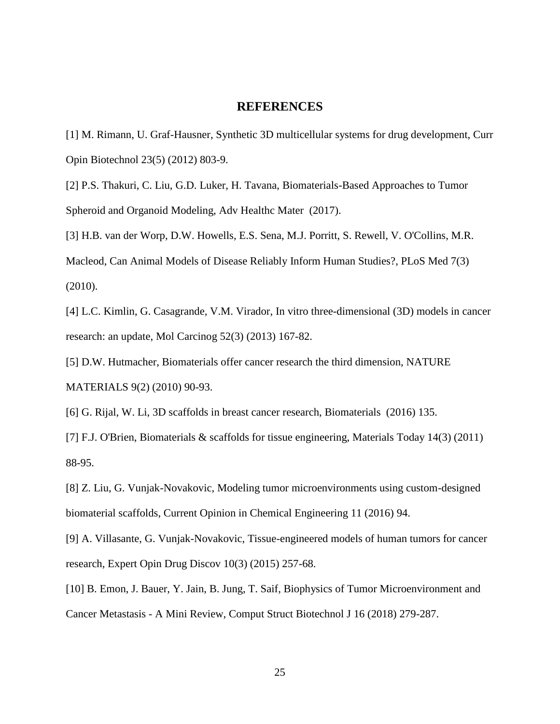## **REFERENCES**

<span id="page-34-0"></span>[1] M. Rimann, U. Graf-Hausner, Synthetic 3D multicellular systems for drug development, Curr Opin Biotechnol 23(5) (2012) 803-9.

[2] P.S. Thakuri, C. Liu, G.D. Luker, H. Tavana, Biomaterials-Based Approaches to Tumor Spheroid and Organoid Modeling, Adv Healthc Mater (2017).

[3] H.B. van der Worp, D.W. Howells, E.S. Sena, M.J. Porritt, S. Rewell, V. O'Collins, M.R.

Macleod, Can Animal Models of Disease Reliably Inform Human Studies?, PLoS Med 7(3) (2010).

[4] L.C. Kimlin, G. Casagrande, V.M. Virador, In vitro three-dimensional (3D) models in cancer research: an update, Mol Carcinog 52(3) (2013) 167-82.

[5] D.W. Hutmacher, Biomaterials offer cancer research the third dimension, NATURE MATERIALS 9(2) (2010) 90-93.

[6] G. Rijal, W. Li, 3D scaffolds in breast cancer research, Biomaterials (2016) 135.

[7] F.J. O'Brien, Biomaterials & scaffolds for tissue engineering, Materials Today 14(3) (2011) 88-95.

[8] Z. Liu, G. Vunjak-Novakovic, Modeling tumor microenvironments using custom-designed biomaterial scaffolds, Current Opinion in Chemical Engineering 11 (2016) 94.

[9] A. Villasante, G. Vunjak-Novakovic, Tissue-engineered models of human tumors for cancer research, Expert Opin Drug Discov 10(3) (2015) 257-68.

[10] B. Emon, J. Bauer, Y. Jain, B. Jung, T. Saif, Biophysics of Tumor Microenvironment and Cancer Metastasis - A Mini Review, Comput Struct Biotechnol J 16 (2018) 279-287.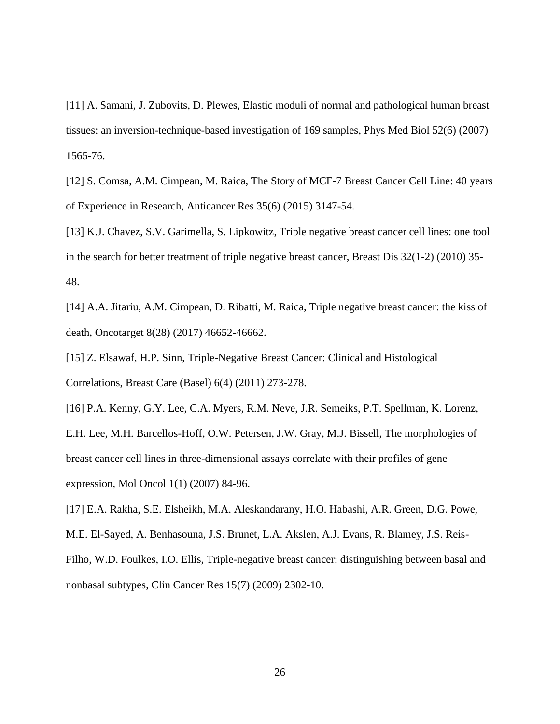[11] A. Samani, J. Zubovits, D. Plewes, Elastic moduli of normal and pathological human breast tissues: an inversion-technique-based investigation of 169 samples, Phys Med Biol 52(6) (2007) 1565-76.

[12] S. Comsa, A.M. Cimpean, M. Raica, The Story of MCF-7 Breast Cancer Cell Line: 40 years of Experience in Research, Anticancer Res 35(6) (2015) 3147-54.

[13] K.J. Chavez, S.V. Garimella, S. Lipkowitz, Triple negative breast cancer cell lines: one tool in the search for better treatment of triple negative breast cancer, Breast Dis 32(1-2) (2010) 35- 48.

[14] A.A. Jitariu, A.M. Cimpean, D. Ribatti, M. Raica, Triple negative breast cancer: the kiss of death, Oncotarget 8(28) (2017) 46652-46662.

[15] Z. Elsawaf, H.P. Sinn, Triple-Negative Breast Cancer: Clinical and Histological Correlations, Breast Care (Basel) 6(4) (2011) 273-278.

[16] P.A. Kenny, G.Y. Lee, C.A. Myers, R.M. Neve, J.R. Semeiks, P.T. Spellman, K. Lorenz, E.H. Lee, M.H. Barcellos-Hoff, O.W. Petersen, J.W. Gray, M.J. Bissell, The morphologies of breast cancer cell lines in three-dimensional assays correlate with their profiles of gene expression, Mol Oncol 1(1) (2007) 84-96.

[17] E.A. Rakha, S.E. Elsheikh, M.A. Aleskandarany, H.O. Habashi, A.R. Green, D.G. Powe,

M.E. El-Sayed, A. Benhasouna, J.S. Brunet, L.A. Akslen, A.J. Evans, R. Blamey, J.S. Reis-Filho, W.D. Foulkes, I.O. Ellis, Triple-negative breast cancer: distinguishing between basal and nonbasal subtypes, Clin Cancer Res 15(7) (2009) 2302-10.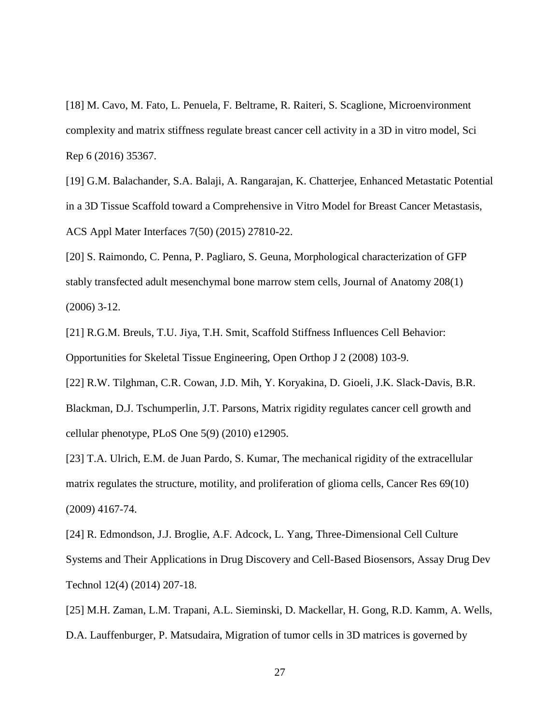[18] M. Cavo, M. Fato, L. Penuela, F. Beltrame, R. Raiteri, S. Scaglione, Microenvironment complexity and matrix stiffness regulate breast cancer cell activity in a 3D in vitro model, Sci Rep 6 (2016) 35367.

[19] G.M. Balachander, S.A. Balaji, A. Rangarajan, K. Chatterjee, Enhanced Metastatic Potential in a 3D Tissue Scaffold toward a Comprehensive in Vitro Model for Breast Cancer Metastasis, ACS Appl Mater Interfaces 7(50) (2015) 27810-22.

[20] S. Raimondo, C. Penna, P. Pagliaro, S. Geuna, Morphological characterization of GFP stably transfected adult mesenchymal bone marrow stem cells, Journal of Anatomy 208(1) (2006) 3-12.

[21] R.G.M. Breuls, T.U. Jiya, T.H. Smit, Scaffold Stiffness Influences Cell Behavior: Opportunities for Skeletal Tissue Engineering, Open Orthop J 2 (2008) 103-9.

[22] R.W. Tilghman, C.R. Cowan, J.D. Mih, Y. Koryakina, D. Gioeli, J.K. Slack-Davis, B.R. Blackman, D.J. Tschumperlin, J.T. Parsons, Matrix rigidity regulates cancer cell growth and cellular phenotype, PLoS One 5(9) (2010) e12905.

[23] T.A. Ulrich, E.M. de Juan Pardo, S. Kumar, The mechanical rigidity of the extracellular matrix regulates the structure, motility, and proliferation of glioma cells, Cancer Res 69(10) (2009) 4167-74.

[24] R. Edmondson, J.J. Broglie, A.F. Adcock, L. Yang, Three-Dimensional Cell Culture Systems and Their Applications in Drug Discovery and Cell-Based Biosensors, Assay Drug Dev Technol 12(4) (2014) 207-18.

[25] M.H. Zaman, L.M. Trapani, A.L. Sieminski, D. Mackellar, H. Gong, R.D. Kamm, A. Wells, D.A. Lauffenburger, P. Matsudaira, Migration of tumor cells in 3D matrices is governed by